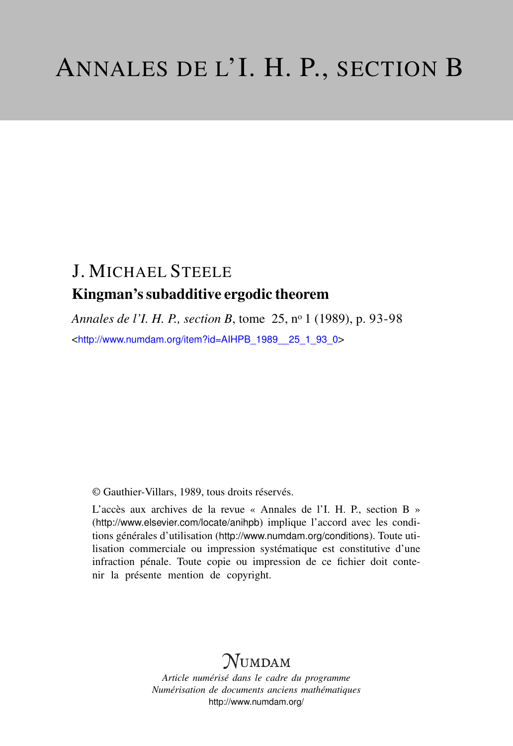# J. MICHAEL STEELE Kingman's subadditive ergodic theorem

*Annales de l'I. H. P., section B*, tome 25, n<sup>o</sup> 1 (1989), p. 93-98 <[http://www.numdam.org/item?id=AIHPB\\_1989\\_\\_25\\_1\\_93\\_0](http://www.numdam.org/item?id=AIHPB_1989__25_1_93_0)>

© Gauthier-Villars, 1989, tous droits réservés.

L'accès aux archives de la revue « Annales de l'I. H. P., section B » (<http://www.elsevier.com/locate/anihpb>) implique l'accord avec les conditions générales d'utilisation (<http://www.numdam.org/conditions>). Toute utilisation commerciale ou impression systématique est constitutive d'une infraction pénale. Toute copie ou impression de ce fichier doit contenir la présente mention de copyright.

# **NUMDAM**

*Article numérisé dans le cadre du programme Numérisation de documents anciens mathématiques* <http://www.numdam.org/>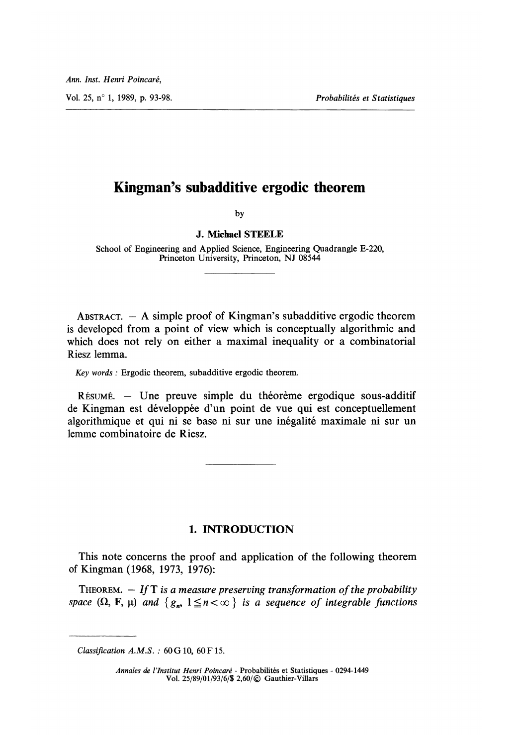Vol. 25, n° 1, 1989, p. 93-98. Probabilités et Statistiques

## Kingman's subadditive ergodic theorem

by

### J. Michael STEELE

School of Engineering and Applied Science, Engineering Quadrangle E-220, Princeton University, Princeton, NJ 08544

ABSTRACT.  $-$  A simple proof of Kingman's subadditive ergodic theorem is developed from a point of view which is conceptually algorithmic and which does not rely on either a maximal inequality or a combinatorial Riesz lemma.

Key words : Ergodic theorem, subadditive ergodic theorem.

RÉSUMÉ. - Une preuve simple du théorème ergodique sous-additif de Kingman est développée d'un point de vue qui est conceptuellement algorithmique et qui ni se base ni sur une inégalité maximale ni sur un lemme combinatoire de Riesz.

### 1. INTRODUCTION

This note concerns the proof and application of the following theorem of Kingman (1968, 1973, 1976):

THEOREM.  $-$  If T is a measure preserving transformation of the probability space  $(\Omega, \mathbf{F}, \mu)$  and  $\{g_n, 1 \leq n < \infty\}$  is a sequence of integrable functions

Classification  $A.M.S.$ : 60 G 10, 60 F 15.

Annales de l'Institut Henri Poincaré - Probabilités et Statistiques - 0294-1449 Vol. 25/89/01/93/6/\$ 2,60/© Gauthier-Villars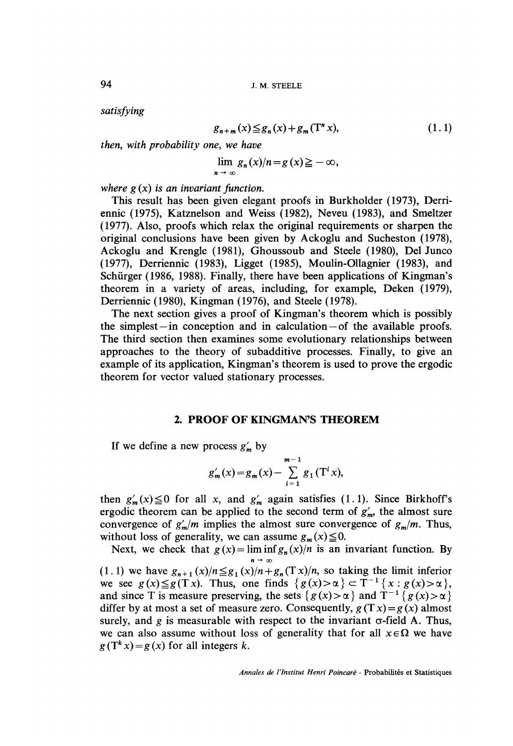satisfying

$$
g_{n+m}(x) \leq g_n(x) + g_m(T^n x), \tag{1.1}
$$

then, with probability one, we have

$$
\lim_{n \to \infty} g_n(x)/n = g(x) \geq -\infty,
$$

where  $g(x)$  is an invariant function.

This result has been given elegant proofs in Burkholder (1973), Derriennic (1975), Katznelson and Weiss (1982), Neveu (1983), and Smeltzer (1977). Also, proofs which relax the original requirements or sharpen the original conclusions have been given by Ackoglu and Sucheston (1978), Ackoglu and Krengle (1981), Ghoussoub and Steele (1980), Del Junco (1977), Derriennic (1983), Ligget (1985), Moulin-Ollagnier (1983), and Schürger (1986, 1988). Finally, there have been applications of Kingman's theorem in a variety of areas, including, for example, Deken (1979), Derriennic (1980), Kingman (1976), and Steele (1978).

The next section gives a proof of Kingman's theorem which is possibly the simplest  $-$  in conception and in calculation  $-$  of the available proofs. The third section then examines some evolutionary relationships between approaches to the theory of subadditive processes. Finally, to give an example of its application, Kingman's theorem is used to prove the ergodic theorem for vector valued stationary processes.

#### 2. PROOF OF KINGMAN'S THEOREM

If we define a new process  $g'_m$  by

$$
g'_{m}(x) = g_{m}(x) - \sum_{i=1}^{m-1} g_{1}(T^{i}x),
$$

then  $g'_m(x) \le 0$  for all x, and  $g'_m$  again satisfies (1.1). Since Birkhoff's ergodic theorem can be applied to the second term of  $g'_m$ , the almost sure convergence of  $g'_m/m$  implies the almost sure convergence of  $g_m/m$ . Thus, without loss of generality, we can assume  $g_m(x) \leq 0$ .

Next, we check that  $g(x) = \liminf_{n \to \infty} g_n(x)/n$  is an invariant function. By

(1.1) we have  $g_{n+1}(x)/n \leq g_1(x)/n+g_n(Tx)/n$ , so taking the limit inferior we see  $g(x) \leq g(Tx)$ . Thus, one finds  $\{g(x) > \alpha\} \subset T^{-1} \{x : g(x) > \alpha\},$ and since T is measure preserving, the sets  $\{g(x) > \alpha\}$  and  $T^{-1}\{g(x) > \alpha\}$ differ by at most a set of measure zero. Consequently,  $g(Tx) = g(x)$  almost surely, and g is measurable with respect to the invariant  $\sigma$ -field A. Thus, we can also assume without loss of generality that for all  $x \in \Omega$  we have  $g(T^k x) = g(x)$  for all integers k.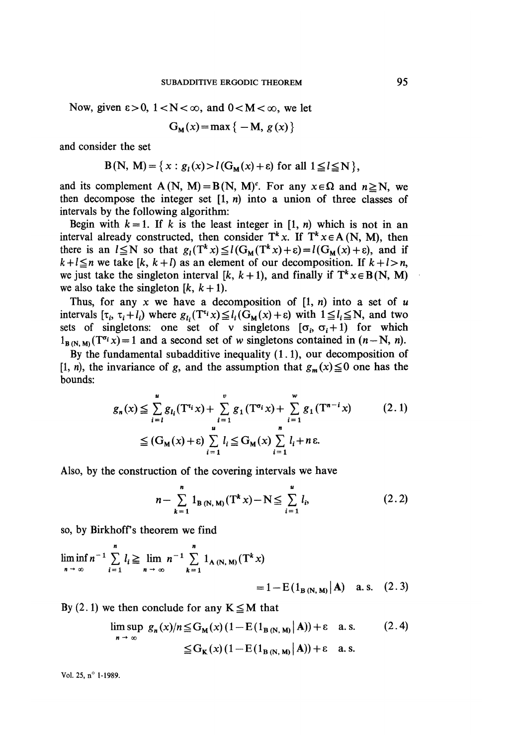Now, given  $\varepsilon > 0$ ,  $1 < N < \infty$ , and  $0 < M < \infty$ , we let

$$
G_{M}(x) = \max\{-M, g(x)\}\
$$

and consider the set

$$
B(N, M) = \{x : g_1(x) > l(G_M(x) + \varepsilon) \text{ for all } 1 \le l \le N \},
$$

and its complement A(N, M) = B(N, M)<sup>c</sup>. For any  $x \in \Omega$  and  $n \ge N$ , we then decompose the integer set  $[1, n)$  into a union of three classes of intervals by the following algorithm:

Begin with  $k = 1$ . If k is the least integer in [1, n) which is not in an interval already constructed, then consider  $T^k x$ . If  $T^k x \in A(N, M)$ , then there is an  $l \le N$  so that  $g_l(T^k x) \le l(G_M(T^k x) + \varepsilon) = l(G_M(x) + \varepsilon)$ , and if  $k+l \leq n$  we take  $[k, k+l)$  as an element of our decomposition. If  $k+l > n$ , we just take the singleton interval [k, k + 1], and finally if  $T^k x \in B(N, M)$ we also take the singleton  $[k, k+1]$ .

Thus, for any x we have a decomposition of  $[1, n)$  into a set of u intervals  $[\tau_i, \tau_i + l_i]$  where  $g_{l_i}(T^{t_i}x) \leq l_i(G_M(x) + \varepsilon)$  with  $1 \leq l_i \leq N$ , and two sets of singletons: one set of v singletons  $[\sigma_i, \sigma_i+1]$  for which  $1_{B(N,M)}$  (T<sup> $\sigma_i$ </sup>x) = 1 and a second set of w singletons contained in  $(n - N, n)$ .

By the fundamental subadditive inequality (1.1), our decomposition of [1, n), the invariance of g, and the assumption that  $g_m(x) \le 0$  one has the bounds:

$$
g_n(x) \leq \sum_{i=1}^u g_{l_i}(\mathbf{T}^{r_i}x) + \sum_{i=1}^v g_1(\mathbf{T}^{\sigma_i}x) + \sum_{i=1}^w g_1(\mathbf{T}^{n-i}x)
$$
(2.1)  

$$
\leq (\mathbf{G}_M(x) + \varepsilon) \sum_{i=1}^u l_i \leq \mathbf{G}_M(x) \sum_{i=1}^n l_i + n\varepsilon.
$$

Also, by the construction of the covering intervals we have

$$
n - \sum_{k=1}^{n} 1_{B(N, M)}(T^k x) - N \leq \sum_{i=1}^{n} l_i,
$$
 (2.2)

so, by Birkhoffs theorem we find

$$
\liminf_{n \to \infty} n^{-1} \sum_{i=1}^{n} l_i \ge \lim_{n \to \infty} n^{-1} \sum_{k=1}^{n} 1_{A(N, M)}(T^k x)
$$
  
= 1 - E(I\_{B(N, M)}|A) a.s. (2.3)

By (2.1) we then conclude for any  $K \le M$  that

$$
\limsup_{n \to \infty} g_n(x)/n \leq G_M(x) (1 - E(1_{B(N, M)} | A)) + \varepsilon \quad \text{a.s.} \tag{2.4}
$$
  

$$
\leq G_K(x) (1 - E(1_{B(N, M)} | A)) + \varepsilon \quad \text{a.s.}
$$

Vol. 25, n° 1-1989.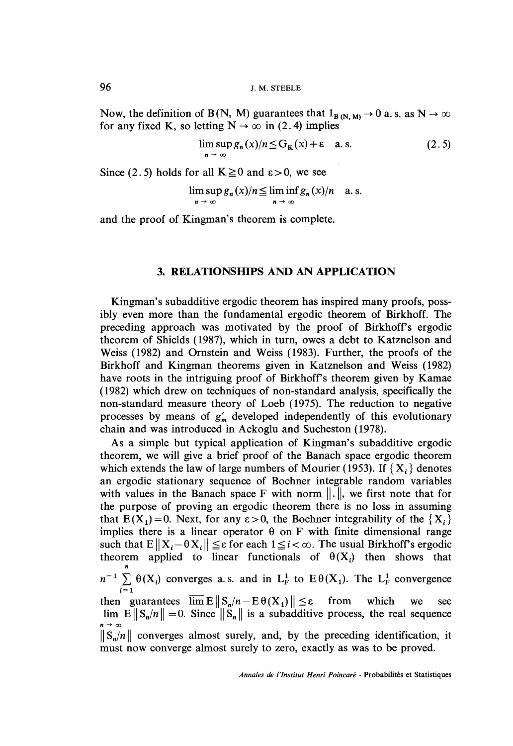Now, the definition of B(N, M) guarantees that  $1_{B(N, M)} \rightarrow 0$  a.s. as  $N \rightarrow \infty$ for any fixed K, so letting  $N \rightarrow \infty$  in (2.4) implies

$$
\limsup_{n \to \infty} g_n(x)/n \leq G_K(x) + \varepsilon \quad \text{a.s.} \tag{2.5}
$$

Since (2.5) holds for all  $K \ge 0$  and  $\varepsilon > 0$ , we see

$$
\limsup_{n \to \infty} g_n(x)/n \leqq \liminf_{n \to \infty} g_n(x)/n \quad a.s.
$$

and the proof of Kingman's theorem is complete.

#### 3. RELATIONSHIPS AND AN APPLICATION

Kingman's subadditive ergodic theorem has inspired many proofs, possibly even more than the fundamental ergodic theorem of Birkhoff. The preceding approach was motivated by the proof of Birkhoff's ergodic theorem of Shields (1987), which in turn, owes a debt to Katznelson and Weiss (1982) and Ornstein and Weiss (1983). Further, the proofs of the Birkhoff and Kingman theorems given in Katznelson and Weiss (1982) have roots in the intriguing proof of Birkhoff's theorem given by Kamae ( 1982) which drew on techniques of non-standard analysis, specifically the non-standard measure theory of Loeb (1975). The reduction to negative processes by means of  $g'_m$  developed independently of this evolutionary chain and was introduced in Ackoglu and Sucheston ( 1978).

As a simple but typical application of Kingman's subadditive ergodic theorem, we will give a brief proof of the Banach space ergodic theorem which extends the law of large numbers of Mourier (1953). If  $\{X_i\}$  denotes an ergodic stationary sequence of Bochner integrable random variables with values in the Banach space F with norm  $\|\cdot\|$ , we first note that for the purpose of proving an ergodic theorem there is no loss in assuming that  $E(X_1) = 0$ . Next, for any  $\epsilon > 0$ , the Bochner integrability of the  $\{X_i\}$ implies there is a linear operator  $\theta$  on F with finite dimensional range such that  $E\|X_i - \theta X_i\| \leq \varepsilon$  for each  $1 \leq i < \infty$ . The usual Birkhoff's ergodic theorem applied to linear functionals of  $\theta(X_i)$  then shows that  $n^{-1} \sum_{i=1} \Theta(X_i)$  converges a.s. and in  $L^1_F$  to  $E \Theta(X_1)$ . The  $L^1_F$  convergence<br>then guarantees  $\overline{\lim} E || S_n/n - E \Theta(X_1) || \le \varepsilon$  from which we see then guarantees  $\overline{\lim} E \| S_n/n - E \theta(X_1) \| \le \varepsilon$  $\lim E||S_n/n|| = 0$ . Since  $||S_n||$  is a subadditive process, the real sequence  $||S_n/n||$  converges almost surely, and, by the preceding identification, it must now converge almost surely to zero, exactly as was to be proved.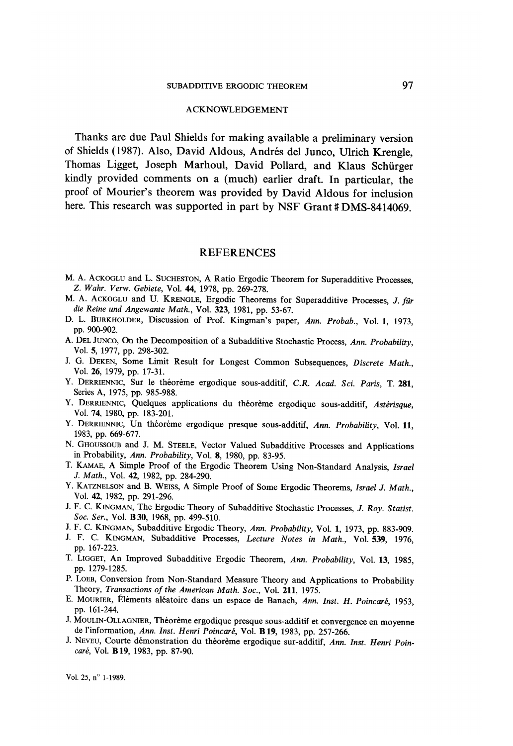#### ACKNOWLEDGEMENT

Thanks are due Paul Shields for making available a preliminary version of Shields ( 1987). Also, David Aldous, Andres del Junco, Ulrich Krengle, Thomas Ligget, Joseph Marhoul, David Pollard, and Klaus Schurger kindly provided comments on a (much) earlier draft. In particular, the proof of Mourier's theorem was provided by David Aldous for inclusion here. This research was supported in part by NSF Grant #DMS-8414069.

#### REFERENCES

- M. A. ACKOGLU and L. SUCHESTON, A Ratio Ergodic Theorem for Superadditive Processes, Z. Wahr. Verw. Gebiete, Vol. 44, 1978, pp. 269-278.
- M. A. ACKOGLU and U. KRENGLE, Ergodic Theorems for Superadditive Processes, J. für die Reine und Angewante Math., Vol. 323, 1981, pp. 53-67.
- D. L. BURKHOLDER, Discussion of Prof. Kingman's paper, Ann. Probab., Vol. 1, 1973, pp. 900-902.
- A. DEL JUNCO, On the Decomposition of a Subadditive Stochastic Process, Ann. Probability, Vol. 5, 1977, pp. 298-302.
- J. G. DEKEN, Some Limit Result for Longest Common Subsequences, Discrete Math., Vol. 26, 1979, pp. 17-31.
- Y. DERRIENNIC, Sur le théorème ergodique sous-additif, C.R. Acad. Sci. Paris, T. 281, Series A, 1975, pp. 985-988.
- Y. DERRIENNIC, Quelques applications du théorème ergodique sous-additif, Astérisque, Vol. 74, 1980, pp. 183-201.
- Y. DERRIENNIC, Un théorème ergodique presque sous-additif, Ann. Probability, Vol. 11, 1983, pp. 669-677.
- N. GHOUSSOUB and J. M. STEELE, Vector Valued Subadditive Processes and Applications in Probability, Ann. Probability, Vol. 8, 1980, pp. 83-95.
- T. KAMAE, A Simple Proof of the Ergodic Theorem Using Non-Standard Analysis, Israel J. Math., Vol. 42, 1982, pp. 284-290.
- Y. KATZNELSON and B. WEISS, A Simple Proof of Some Ergodic Theorems, Israel J. Math., Vol. 42, 1982, pp. 291-296.
- J. F. C. KINGMAN, The Ergodic Theory of Subadditive Stochastic Processes, J. Roy. Statist. Soc. Ser., Vol. **B 30**, 1968, pp. 499-510.
- J. F. C. KINGMAN, Subadditive Ergodic Theory, Ann. Probability, Vol. 1, 1973, pp. 883-909.
- J. F. C. KINGMAN, Subadditive Processes, Lecture Notes in Math., Vol. 539, 1976, pp. 167-223.
- T. LIGGET, An Improved Subadditive Ergodic Theorem, Ann. Probability, Vol. 13, 1985, pp. 1279-1285.
- P. LOEB, Conversion from Non-Standard Measure Theory and Applications to Probability Theory, Transactions of the American Math. Soc., Vol. 211, 1975.
- E. MOURIER, Éléments aléatoire dans un espace de Banach, Ann. Inst. H. Poincaré, 1953, pp. 161-244.
- J. MOULIN-OLLAGNIER, Théorème ergodique presque sous-additif et convergence en moyenne de l'information, Ann. Inst. Henri Poincaré, Vol. B 19, 1983, pp. 257-266.
- J. NEVEU, Courte démonstration du théorème ergodique sur-additif, Ann. Inst. Henri Poincaré, Vol. B 19, 1983, pp. 87-90.

Vol. 25, n° 1-1989.